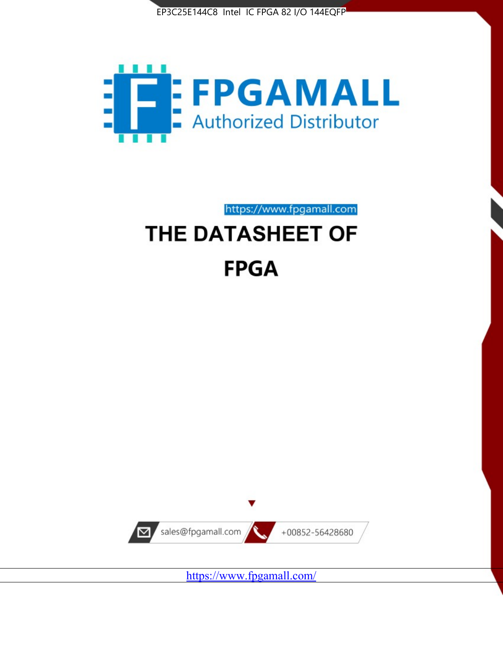



https://www.fpgamall.com

# THE DATASHEET OF **FPGA**



<https://www.fpgamall.com/>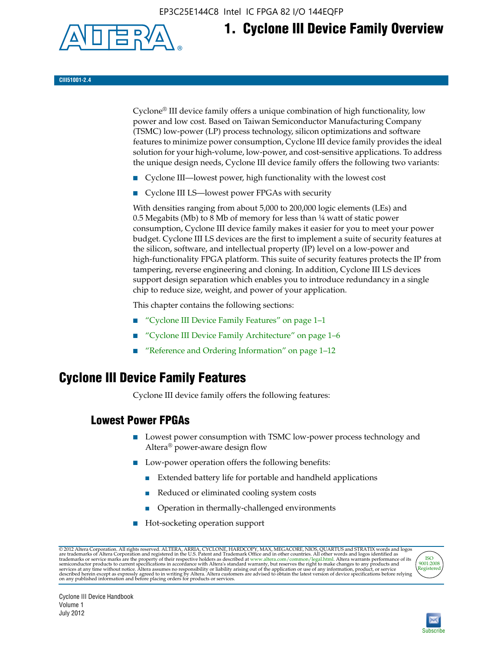EP3C25E144C8 Intel IC FPGA 82 I/O 144EQFP



# **1. Cyclone III Device Family Overview**

#### **CIII51001-2.4**

Cyclone® III device family offers a unique combination of high functionality, low power and low cost. Based on Taiwan Semiconductor Manufacturing Company (TSMC) low-power (LP) process technology, silicon optimizations and software features to minimize power consumption, Cyclone III device family provides the ideal solution for your high-volume, low-power, and cost-sensitive applications. To address the unique design needs, Cyclone III device family offers the following two variants:

- Cyclone III—lowest power, high functionality with the lowest cost
- Cyclone III LS—lowest power FPGAs with security

With densities ranging from about 5,000 to 200,000 logic elements (LEs) and 0.5 Megabits (Mb) to 8 Mb of memory for less than  $\frac{1}{4}$  watt of static power consumption, Cyclone III device family makes it easier for you to meet your power budget. Cyclone III LS devices are the first to implement a suite of security features at the silicon, software, and intellectual property (IP) level on a low-power and high-functionality FPGA platform. This suite of security features protects the IP from tampering, reverse engineering and cloning. In addition, Cyclone III LS devices support design separation which enables you to introduce redundancy in a single chip to reduce size, weight, and power of your application.

This chapter contains the following sections:

- "Cyclone III Device Family Features" on page 1–1
- "Cyclone III Device Family Architecture" on page 1–6
- "Reference and Ordering Information" on page 1–12

## **Cyclone III Device Family Features**

Cyclone III device family offers the following features:

#### **Lowest Power FPGAs**

- Lowest power consumption with TSMC low-power process technology and Altera® power-aware design flow
- Low-power operation offers the following benefits:
	- Extended battery life for portable and handheld applications
	- Reduced or eliminated cooling system costs
	- Operation in thermally-challenged environments
- Hot-socketing operation support

@ 2012 Altera Corporation. All rights reserved. ALTERA, ARRIA, CYCLONE, HARDCOPY, MAX, MEGACORE, NIOS, QUARTUS and STRATIX words and logos are trademarks of Altera Corporation and registered in the U.S. Patent and Trademar



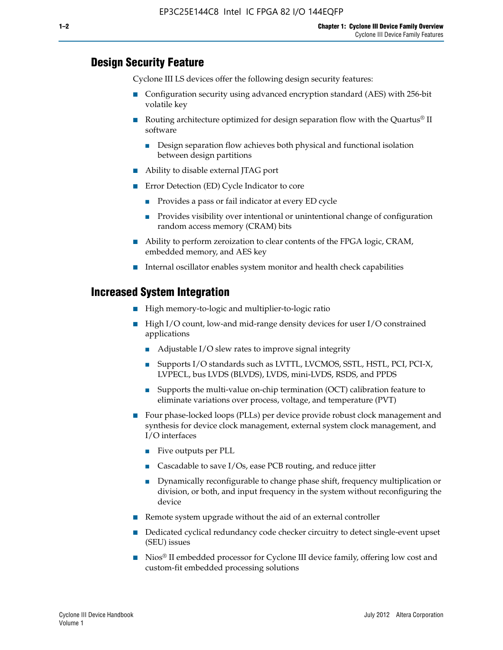#### **Design Security Feature**

Cyclone III LS devices offer the following design security features:

- Configuration security using advanced encryption standard (AES) with 256-bit volatile key
- **■** Routing architecture optimized for design separation flow with the Quartus<sup>®</sup> II software
	- Design separation flow achieves both physical and functional isolation between design partitions
- Ability to disable external JTAG port
- Error Detection (ED) Cycle Indicator to core
	- Provides a pass or fail indicator at every ED cycle
	- Provides visibility over intentional or unintentional change of configuration random access memory (CRAM) bits
- Ability to perform zeroization to clear contents of the FPGA logic, CRAM, embedded memory, and AES key
- Internal oscillator enables system monitor and health check capabilities

#### **Increased System Integration**

- High memory-to-logic and multiplier-to-logic ratio
- High I/O count, low-and mid-range density devices for user I/O constrained applications
	- Adjustable I/O slew rates to improve signal integrity
	- Supports I/O standards such as LVTTL, LVCMOS, SSTL, HSTL, PCI, PCI-X, LVPECL, bus LVDS (BLVDS), LVDS, mini-LVDS, RSDS, and PPDS
	- Supports the multi-value on-chip termination (OCT) calibration feature to eliminate variations over process, voltage, and temperature (PVT)
- Four phase-locked loops (PLLs) per device provide robust clock management and synthesis for device clock management, external system clock management, and I/O interfaces
	- Five outputs per PLL
	- Cascadable to save I/Os, ease PCB routing, and reduce jitter
	- Dynamically reconfigurable to change phase shift, frequency multiplication or division, or both, and input frequency in the system without reconfiguring the device
- Remote system upgrade without the aid of an external controller
- Dedicated cyclical redundancy code checker circuitry to detect single-event upset (SEU) issues
- Nios<sup>®</sup> II embedded processor for Cyclone III device family, offering low cost and custom-fit embedded processing solutions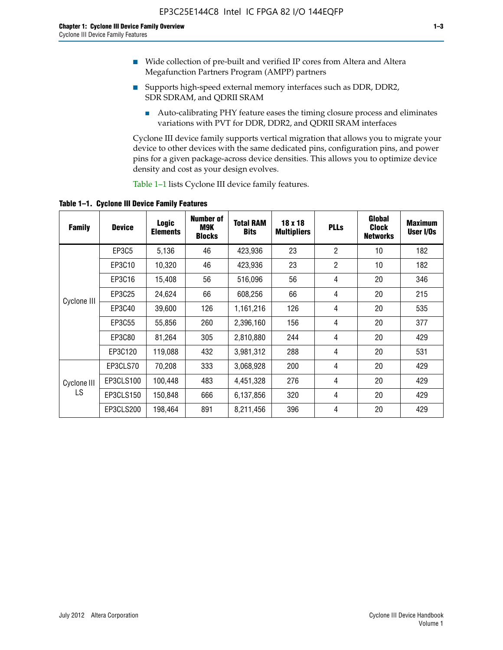- Wide collection of pre-built and verified IP cores from Altera and Altera Megafunction Partners Program (AMPP) partners
- Supports high-speed external memory interfaces such as DDR, DDR2, SDR SDRAM, and QDRII SRAM
	- Auto-calibrating PHY feature eases the timing closure process and eliminates variations with PVT for DDR, DDR2, and QDRII SRAM interfaces

Cyclone III device family supports vertical migration that allows you to migrate your device to other devices with the same dedicated pins, configuration pins, and power pins for a given package-across device densities. This allows you to optimize device density and cost as your design evolves.

Table 1–1 lists Cyclone III device family features.

**Table 1–1. Cyclone III Device Family Features**

| <b>Family</b>     | <b>Device</b> | <b>Logic</b><br><b>Elements</b> | Number of<br>M9K<br><b>Blocks</b> | <b>Total RAM</b><br><b>Bits</b> | 18 x 18<br><b>Multipliers</b> | <b>PLLs</b>    | Global<br><b>Clock</b><br><b>Networks</b> | <b>Maximum</b><br>User I/Os |
|-------------------|---------------|---------------------------------|-----------------------------------|---------------------------------|-------------------------------|----------------|-------------------------------------------|-----------------------------|
|                   | <b>EP3C5</b>  | 5,136                           | 46                                | 423,936                         | 23                            | $\overline{2}$ | 10                                        | 182                         |
|                   | EP3C10        | 10,320                          | 46                                | 423,936                         | 23                            | $\overline{2}$ | 10                                        | 182                         |
|                   | EP3C16        | 15,408                          | 56                                | 516,096                         | 56                            | 4              | 20                                        | 346                         |
| Cyclone III       | EP3C25        | 24,624                          | 66                                | 608,256                         | 66                            | 4              | 20                                        | 215                         |
|                   | EP3C40        | 39,600                          | 126                               | 1,161,216                       | 126                           | 4              | 20                                        | 535                         |
|                   | EP3C55        | 55,856                          | 260                               | 2,396,160                       | 156                           | 4              | 20                                        | 377                         |
|                   | EP3C80        | 81,264                          | 305                               | 2,810,880                       | 244                           | 4              | 20                                        | 429                         |
|                   | EP3C120       | 119,088                         | 432                               | 3,981,312                       | 288                           | 4              | 20                                        | 531                         |
|                   | EP3CLS70      | 70,208                          | 333                               | 3,068,928                       | 200                           | 4              | 20                                        | 429                         |
| Cyclone III<br>LS | EP3CLS100     | 100,448                         | 483                               | 4,451,328                       | 276                           | 4              | 20                                        | 429                         |
|                   | EP3CLS150     | 150,848                         | 666                               | 6,137,856                       | 320                           | 4              | 20                                        | 429                         |
|                   | EP3CLS200     | 198,464                         | 891                               | 8,211,456                       | 396                           | 4              | 20                                        | 429                         |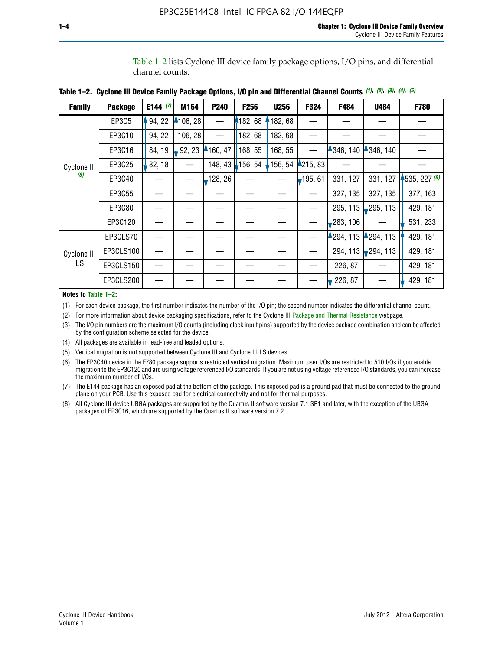Table 1–2 lists Cyclone III device family package options, I/O pins, and differential channel counts.

| Table 1–2.  Cyclone III Device Family Package Options, I/O pin and Differential Channel Counts (1), (2), (3), (4), (5) |  |  |  |  |  |
|------------------------------------------------------------------------------------------------------------------------|--|--|--|--|--|
|                                                                                                                        |  |  |  |  |  |

| <b>Family</b> | <b>Package</b> | E144 $(7)$ | M164     | P240    | <b>F256</b> | <b>U256</b> | F324       | F484     | U484        | F780         |
|---------------|----------------|------------|----------|---------|-------------|-------------|------------|----------|-------------|--------------|
|               | EP3C5          | 94, 22     | 4106, 28 |         | 182, 68     | 182, 68     |            |          |             |              |
|               | EP3C10         | 94, 22     | 106, 28  |         | 182, 68     | 182, 68     |            |          |             |              |
|               | EP3C16         | 84, 19     | 92, 23   | 160, 47 | 168, 55     | 168, 55     |            | 346, 140 | 4346, 140   |              |
| Cyclone III   | EP3C25         | 82, 18     |          | 148, 43 | $-156, 54$  | 156, 54     | 4215, 83   |          |             |              |
| (8)           | EP3C40         |            |          | 128, 26 |             |             | $-195, 61$ | 331, 127 | 331, 127    | 1535, 227(6) |
|               | EP3C55         |            |          |         |             |             |            | 327, 135 | 327, 135    | 377, 163     |
|               | EP3C80         |            |          |         |             |             |            | 295, 113 | ,295, 113   | 429, 181     |
|               | EP3C120        |            |          |         |             |             |            | 283, 106 |             | 531, 233     |
|               | EP3CLS70       |            |          |         |             |             |            | 294, 113 | 294, 113    | 429, 181     |
| Cyclone III   | EP3CLS100      |            |          |         |             |             |            | 294, 113 | $-294, 113$ | 429, 181     |
| LS            | EP3CLS150      |            |          |         |             |             |            | 226, 87  |             | 429, 181     |
|               | EP3CLS200      |            |          |         |             |             |            | 226, 87  |             | 429, 181     |

**Notes to Table 1–2:**

(1) For each device package, the first number indicates the number of the I/O pin; the second number indicates the differential channel count.

(2) For more information about device packaging specifications, refer to the Cyclone III [Package and Thermal Resistance](http://www.altera.com/support/devices/packaging/specifications/pkg-pin/dev-package-listing.jsp?device=Cyclone_III) webpage.

(3) The I/O pin numbers are the maximum I/O counts (including clock input pins) supported by the device package combination and can be affected by the configuration scheme selected for the device.

(4) All packages are available in lead-free and leaded options.

(5) Vertical migration is not supported between Cyclone III and Cyclone III LS devices.

(6) The EP3C40 device in the F780 package supports restricted vertical migration. Maximum user I/Os are restricted to 510 I/Os if you enable migration to the EP3C120 and are using voltage referenced I/O standards. If you are not using voltage referenced I/O standards, you can increase the maximum number of I/Os.

(7) The E144 package has an exposed pad at the bottom of the package. This exposed pad is a ground pad that must be connected to the ground plane on your PCB. Use this exposed pad for electrical connectivity and not for thermal purposes.

(8) All Cyclone III device UBGA packages are supported by the Quartus II software version 7.1 SP1 and later, with the exception of the UBGA packages of EP3C16, which are supported by the Quartus II software version 7.2.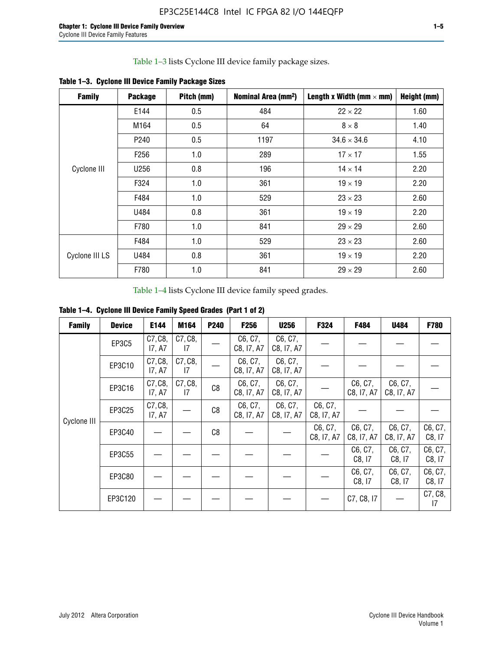Table 1–3 lists Cyclone III device family package sizes.

| <b>Family</b>  | <b>Package</b>   | Pitch (mm) | Nominal Area (mm <sup>2</sup> ) | Length x Width (mm $\times$ mm) | Height (mm) |
|----------------|------------------|------------|---------------------------------|---------------------------------|-------------|
|                | E144             | 0.5        | 484                             | $22 \times 22$                  | 1.60        |
|                | M164             | 0.5        | 64                              | $8 \times 8$                    | 1.40        |
|                | P <sub>240</sub> | 0.5        | 1197                            | $34.6 \times 34.6$              | 4.10        |
|                | F <sub>256</sub> | 1.0        | 289                             | $17 \times 17$                  | 1.55        |
| Cyclone III    | U256             | 0.8        | 196                             | $14 \times 14$                  | 2.20        |
|                | F324             | 1.0        | 361                             | $19 \times 19$                  | 2.20        |
|                | F484             | 1.0        | 529                             | $23 \times 23$                  | 2.60        |
|                | U484             | 0.8        | 361                             | $19 \times 19$                  | 2.20        |
|                | F780             | 1.0        | 841                             | $29 \times 29$                  | 2.60        |
|                | F484             | 1.0        | 529                             | $23 \times 23$                  | 2.60        |
| Cyclone III LS | U484             | 0.8        | 361                             | $19 \times 19$                  | 2.20        |
|                | F780             | 1.0        | 841                             | $29 \times 29$                  | 2.60        |

**Table 1–3. Cyclone III Device Family Package Sizes**

Table 1–4 lists Cyclone III device family speed grades.

**Table 1–4. Cyclone III Device Family Speed Grades (Part 1 of 2)**

| <b>Family</b> | <b>Device</b> | E144              | M164          | <b>P240</b> | <b>F256</b>           | <b>U256</b>           | F324                  | F484                  | U484                  | <b>F780</b>       |
|---------------|---------------|-------------------|---------------|-------------|-----------------------|-----------------------|-----------------------|-----------------------|-----------------------|-------------------|
|               | EP3C5         | C7, C8,<br>17, A7 | C7, C8,<br>17 |             | C6, C7,<br>C8, I7, A7 | C6, C7,<br>C8, I7, A7 |                       |                       |                       |                   |
|               | EP3C10        | C7, C8,<br>17, A7 | C7, C8,<br>17 |             | C6, C7,<br>C8, I7, A7 | C6, C7,<br>C8, I7, A7 |                       |                       |                       |                   |
|               | EP3C16        | C7, C8,<br>17, A7 | C7, C8,<br>17 | C8          | C6, C7,<br>C8, I7, A7 | C6, C7,<br>C8, I7, A7 |                       | C6, C7,<br>C8, I7, A7 | C6, C7,<br>C8, I7, A7 |                   |
| Cyclone III   | EP3C25        | C7, C8,<br>17, A7 |               | C8          | C6, C7,<br>C8, I7, A7 | C6, C7,<br>C8, I7, A7 | C6, C7,<br>C8, I7, A7 |                       |                       |                   |
|               | EP3C40        |                   |               | C8          |                       |                       | C6, C7,<br>C8, I7, A7 | C6, C7,<br>C8, I7, A7 | C6, C7,<br>C8, I7, A7 | C6, C7,<br>C8, 17 |
|               | EP3C55        |                   |               |             |                       |                       |                       | C6, C7,<br>C8, 17     | C6, C7,<br>C8, 17     | C6, C7,<br>C8, 17 |
|               | EP3C80        |                   |               |             |                       |                       |                       | C6, C7,<br>C8, 17     | C6, C7,<br>C8, 17     | C6, C7,<br>C8, 17 |
|               | EP3C120       |                   |               |             |                       |                       |                       | C7, C8, I7            |                       | C7, C8,<br>17     |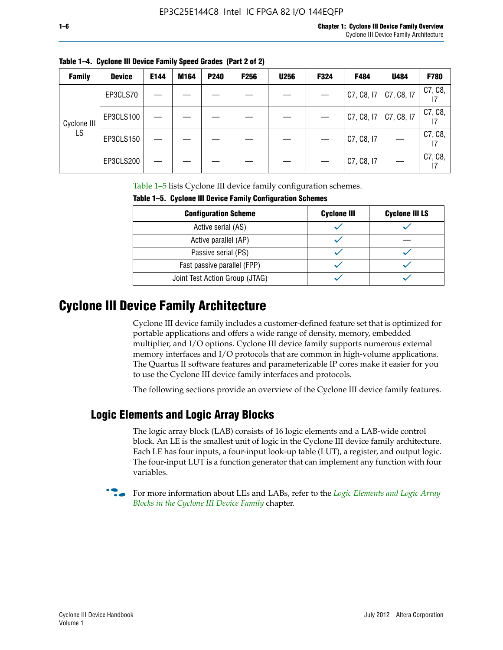| Table 1-4. Cyclone III Device Family Speed Grades (Part 2 of 2) |  |  |
|-----------------------------------------------------------------|--|--|

| <b>Family</b> | <b>Device</b> | E144 | M164 | <b>P240</b> | <b>F256</b> | <b>U256</b> | F324 | F484       | U484       | F780          |
|---------------|---------------|------|------|-------------|-------------|-------------|------|------------|------------|---------------|
|               | EP3CLS70      |      |      |             |             |             |      | C7, C8, 17 | C7, C8, I7 | C7, C8,<br>17 |
| Cyclone III   | EP3CLS100     |      |      |             |             |             |      | C7, C8, 17 | C7, C8, I7 | C7, C8,<br>17 |
| LS            | EP3CLS150     |      |      |             |             |             |      | C7, C8, I7 |            | C7, C8,<br>17 |
|               | EP3CLS200     |      |      |             |             |             |      | C7, C8, I7 |            | C7, C8,<br>17 |

Table 1–5 lists Cyclone III device family configuration schemes.

| <u>rapic 1-9. Uvululid III buviud Laliliiv vulliigulatioli Sulidilids</u> |                    |                       |  |  |
|---------------------------------------------------------------------------|--------------------|-----------------------|--|--|
| <b>Configuration Scheme</b>                                               | <b>Cyclone III</b> | <b>Cyclone III LS</b> |  |  |
| Active serial (AS)                                                        |                    |                       |  |  |
| Active parallel (AP)                                                      |                    |                       |  |  |
| Passive serial (PS)                                                       |                    |                       |  |  |
| Fast passive parallel (FPP)                                               |                    |                       |  |  |
| Joint Test Action Group (JTAG)                                            |                    |                       |  |  |

**Table 1–5. Cyclone III Device Family Configuration Schemes**

## **Cyclone III Device Family Architecture**

Cyclone III device family includes a customer-defined feature set that is optimized for portable applications and offers a wide range of density, memory, embedded multiplier, and I/O options. Cyclone III device family supports numerous external memory interfaces and I/O protocols that are common in high-volume applications. The Quartus II software features and parameterizable IP cores make it easier for you to use the Cyclone III device family interfaces and protocols.

The following sections provide an overview of the Cyclone III device family features.

## **Logic Elements and Logic Array Blocks**

The logic array block (LAB) consists of 16 logic elements and a LAB-wide control block. An LE is the smallest unit of logic in the Cyclone III device family architecture. Each LE has four inputs, a four-input look-up table (LUT), a register, and output logic. The four-input LUT is a function generator that can implement any function with four variables.

f For more information about LEs and LABs, refer to the *[Logic Elements and Logic Array](http://www.altera.com/literature/hb/cyc3/cyc3_ciii51002.pdf)  [Blocks in the Cyclone III Device Family](http://www.altera.com/literature/hb/cyc3/cyc3_ciii51002.pdf)* chapter.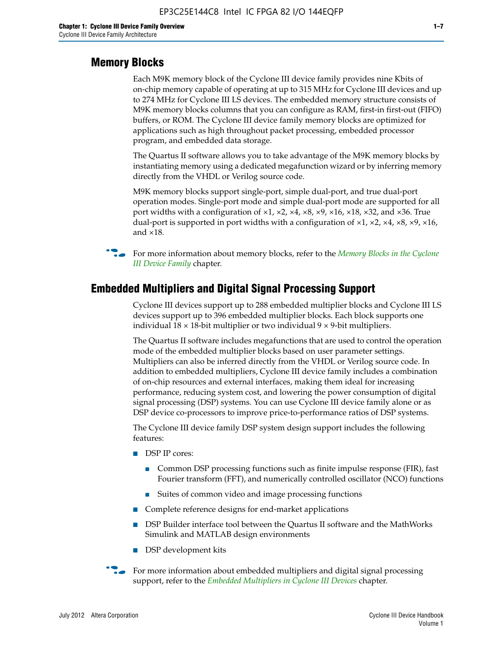#### **Memory Blocks**

Each M9K memory block of the Cyclone III device family provides nine Kbits of on-chip memory capable of operating at up to 315 MHz for Cyclone III devices and up to 274 MHz for Cyclone III LS devices. The embedded memory structure consists of M9K memory blocks columns that you can configure as RAM, first-in first-out (FIFO) buffers, or ROM. The Cyclone III device family memory blocks are optimized for applications such as high throughout packet processing, embedded processor program, and embedded data storage.

The Quartus II software allows you to take advantage of the M9K memory blocks by instantiating memory using a dedicated megafunction wizard or by inferring memory directly from the VHDL or Verilog source code.

M9K memory blocks support single-port, simple dual-port, and true dual-port operation modes. Single-port mode and simple dual-port mode are supported for all port widths with a configuration of  $\times1$ ,  $\times2$ ,  $\times4$ ,  $\times8$ ,  $\times9$ ,  $\times16$ ,  $\times18$ ,  $\times32$ , and  $\times36$ . True dual-port is supported in port widths with a configuration of  $\times$ 1,  $\times$ 2,  $\times$ 4,  $\times$ 8,  $\times$ 9,  $\times$ 16, and ×18.



**For more information about memory blocks, refer to the** *Memory Blocks in the Cyclone [III Device Family](http://www.altera.com/literature/hb/cyc3/cyc3_ciii51004.pdf)* chapter.

#### **Embedded Multipliers and Digital Signal Processing Support**

Cyclone III devices support up to 288 embedded multiplier blocks and Cyclone III LS devices support up to 396 embedded multiplier blocks. Each block supports one individual  $18 \times 18$ -bit multiplier or two individual  $9 \times 9$ -bit multipliers.

The Quartus II software includes megafunctions that are used to control the operation mode of the embedded multiplier blocks based on user parameter settings. Multipliers can also be inferred directly from the VHDL or Verilog source code. In addition to embedded multipliers, Cyclone III device family includes a combination of on-chip resources and external interfaces, making them ideal for increasing performance, reducing system cost, and lowering the power consumption of digital signal processing (DSP) systems. You can use Cyclone III device family alone or as DSP device co-processors to improve price-to-performance ratios of DSP systems.

The Cyclone III device family DSP system design support includes the following features:

- DSP IP cores:
	- Common DSP processing functions such as finite impulse response (FIR), fast Fourier transform (FFT), and numerically controlled oscillator (NCO) functions
	- Suites of common video and image processing functions
- Complete reference designs for end-market applications
- DSP Builder interface tool between the Quartus II software and the MathWorks Simulink and MATLAB design environments
- DSP development kits
- For more information about embedded multipliers and digital signal processing support, refer to the *[Embedded Multipliers in Cyclone III Devices](http://www.altera.com/literature/hb/cyc3/cyc3_ciii51005.pdf)* chapter.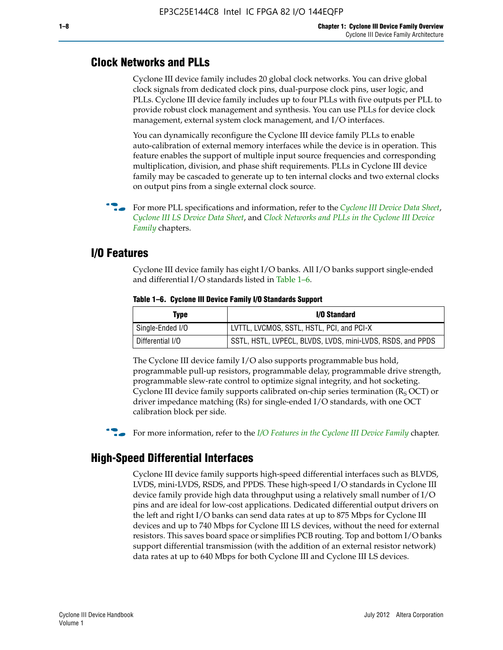#### **Clock Networks and PLLs**

Cyclone III device family includes 20 global clock networks. You can drive global clock signals from dedicated clock pins, dual-purpose clock pins, user logic, and PLLs. Cyclone III device family includes up to four PLLs with five outputs per PLL to provide robust clock management and synthesis. You can use PLLs for device clock management, external system clock management, and I/O interfaces.

You can dynamically reconfigure the Cyclone III device family PLLs to enable auto-calibration of external memory interfaces while the device is in operation. This feature enables the support of multiple input source frequencies and corresponding multiplication, division, and phase shift requirements. PLLs in Cyclone III device family may be cascaded to generate up to ten internal clocks and two external clocks on output pins from a single external clock source.

**For more PLL specifications and information, refer to the** *[Cyclone III Device Data Sheet](http://www.altera.com/literature/hb/cyc3/cyc3_ciii52001.pdf)***,** *[Cyclone III LS Device Data Sheet](http://www.altera.com/literature/hb/cyc3/cyc3_ciii52002.pdf)*, and *[Clock Networks and PLLs in the Cyclone III Device](http://www.altera.com/literature/hb/cyc3/cyc3_ciii51006.pdf)  [Family](http://www.altera.com/literature/hb/cyc3/cyc3_ciii51006.pdf)* chapters.

#### **I/O Features**

Cyclone III device family has eight I/O banks. All I/O banks support single-ended and differential I/O standards listed in Table 1–6.

| Type             | <b>I/O Standard</b>                                        |
|------------------|------------------------------------------------------------|
| Single-Ended I/O | LVTTL, LVCMOS, SSTL, HSTL, PCI, and PCI-X                  |
| Differential I/O | SSTL, HSTL, LVPECL, BLVDS, LVDS, mini-LVDS, RSDS, and PPDS |

**Table 1–6. Cyclone III Device Family I/O Standards Support** 

The Cyclone III device family I/O also supports programmable bus hold, programmable pull-up resistors, programmable delay, programmable drive strength, programmable slew-rate control to optimize signal integrity, and hot socketing. Cyclone III device family supports calibrated on-chip series termination ( $R_S$  OCT) or driver impedance matching (Rs) for single-ended I/O standards, with one OCT calibration block per side.

For more information, refer to the *[I/O Features in the Cyclone III Device Family](http://www.altera.com/literature/hb/cyc3/cyc3_ciii51007.pdf)* chapter.

## **High-Speed Differential Interfaces**

Cyclone III device family supports high-speed differential interfaces such as BLVDS, LVDS, mini-LVDS, RSDS, and PPDS. These high-speed I/O standards in Cyclone III device family provide high data throughput using a relatively small number of I/O pins and are ideal for low-cost applications. Dedicated differential output drivers on the left and right I/O banks can send data rates at up to 875 Mbps for Cyclone III devices and up to 740 Mbps for Cyclone III LS devices, without the need for external resistors. This saves board space or simplifies PCB routing. Top and bottom I/O banks support differential transmission (with the addition of an external resistor network) data rates at up to 640 Mbps for both Cyclone III and Cyclone III LS devices.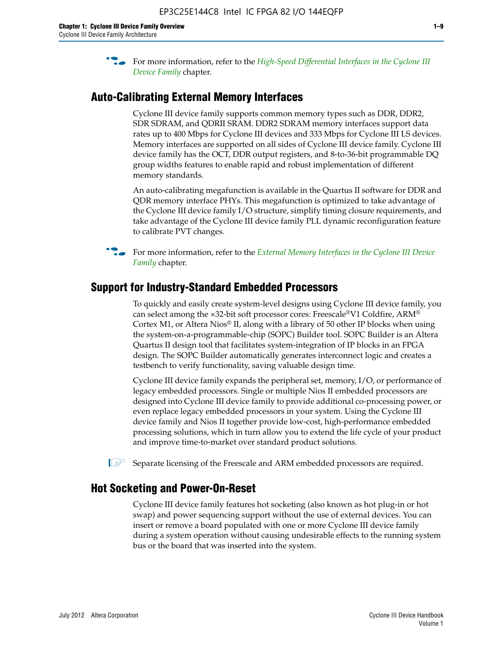**For more information, refer to the** *High-Speed Differential Interfaces in the Cyclone III* $\overline{a}$ *[Device Family](http://www.altera.com/literature/hb/cyc3/cyc3_ciii51008.pdf)* chapter.

#### **Auto-Calibrating External Memory Interfaces**

Cyclone III device family supports common memory types such as DDR, DDR2, SDR SDRAM, and QDRII SRAM. DDR2 SDRAM memory interfaces support data rates up to 400 Mbps for Cyclone III devices and 333 Mbps for Cyclone III LS devices. Memory interfaces are supported on all sides of Cyclone III device family. Cyclone III device family has the OCT, DDR output registers, and 8-to-36-bit programmable DQ group widths features to enable rapid and robust implementation of different memory standards.

An auto-calibrating megafunction is available in the Quartus II software for DDR and QDR memory interface PHYs. This megafunction is optimized to take advantage of the Cyclone III device family I/O structure, simplify timing closure requirements, and take advantage of the Cyclone III device family PLL dynamic reconfiguration feature to calibrate PVT changes.

**For more information, refer to the** *External Memory Interfaces in the Cyclone III Device [Family](http://www.altera.com/literature/hb/cyc3/cyc3_ciii51009.pdf)* chapter.

#### **Support for Industry-Standard Embedded Processors**

To quickly and easily create system-level designs using Cyclone III device family, you can select among the ×32-bit soft processor cores: Freescale®V1 Coldfire, ARM® Cortex M1, or Altera Nios® II, along with a library of 50 other IP blocks when using the system-on-a-programmable-chip (SOPC) Builder tool. SOPC Builder is an Altera Quartus II design tool that facilitates system-integration of IP blocks in an FPGA design. The SOPC Builder automatically generates interconnect logic and creates a testbench to verify functionality, saving valuable design time.

Cyclone III device family expands the peripheral set, memory, I/O, or performance of legacy embedded processors. Single or multiple Nios II embedded processors are designed into Cyclone III device family to provide additional co-processing power, or even replace legacy embedded processors in your system. Using the Cyclone III device family and Nios II together provide low-cost, high-performance embedded processing solutions, which in turn allow you to extend the life cycle of your product and improve time-to-market over standard product solutions.

 $\mathbb{I}$  Separate licensing of the Freescale and ARM embedded processors are required.

#### **Hot Socketing and Power-On-Reset**

Cyclone III device family features hot socketing (also known as hot plug-in or hot swap) and power sequencing support without the use of external devices. You can insert or remove a board populated with one or more Cyclone III device family during a system operation without causing undesirable effects to the running system bus or the board that was inserted into the system.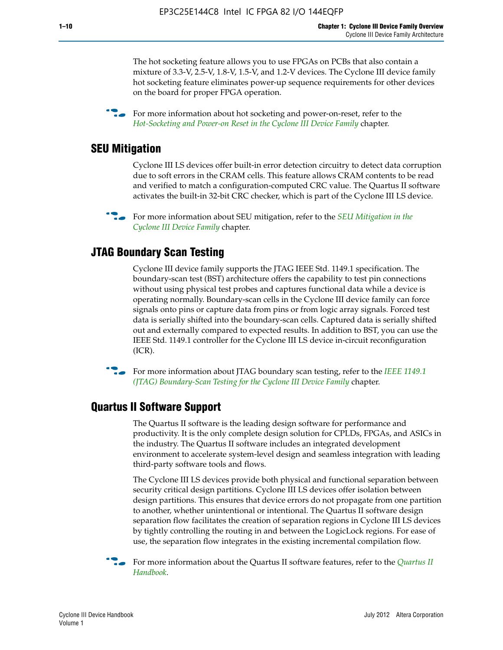The hot socketing feature allows you to use FPGAs on PCBs that also contain a mixture of 3.3-V, 2.5-V, 1.8-V, 1.5-V, and 1.2-V devices. The Cyclone III device family hot socketing feature eliminates power-up sequence requirements for other devices on the board for proper FPGA operation.

For more information about hot socketing and power-on-reset, refer to the *[Hot-Socketing and Power-on Reset in the Cyclone III Device Family](http://www.altera.com/literature/hb/cyc3/cyc3_ciii51011.pdf)* chapter.

#### **SEU Mitigation**

Cyclone III LS devices offer built-in error detection circuitry to detect data corruption due to soft errors in the CRAM cells. This feature allows CRAM contents to be read and verified to match a configuration-computed CRC value. The Quartus II software activates the built-in 32-bit CRC checker, which is part of the Cyclone III LS device.

**For more information about SEU mitigation, refer to the** *SEU Mitigation in the [Cyclone III Device Family](http://www.altera.com/literature/hb/cyc3/cyc3_ciii51013.pdf)* chapter.

#### **JTAG Boundary Scan Testing**

Cyclone III device family supports the JTAG IEEE Std. 1149.1 specification. The boundary-scan test (BST) architecture offers the capability to test pin connections without using physical test probes and captures functional data while a device is operating normally. Boundary-scan cells in the Cyclone III device family can force signals onto pins or capture data from pins or from logic array signals. Forced test data is serially shifted into the boundary-scan cells. Captured data is serially shifted out and externally compared to expected results. In addition to BST, you can use the IEEE Std. 1149.1 controller for the Cyclone III LS device in-circuit reconfiguration (ICR).

**f f**or more information about JTAG boundary scan testing, refer to the *IEEE* 1149.1 *[\(JTAG\) Boundary-Scan Testing for the Cyclone III Device Family](http://www.altera.com/literature/hb/cyc3/cyc3_ciii51014.pdf)* chapter.

#### **Quartus II Software Support**

The Quartus II software is the leading design software for performance and productivity. It is the only complete design solution for CPLDs, FPGAs, and ASICs in the industry. The Quartus II software includes an integrated development environment to accelerate system-level design and seamless integration with leading third-party software tools and flows.

The Cyclone III LS devices provide both physical and functional separation between security critical design partitions. Cyclone III LS devices offer isolation between design partitions. This ensures that device errors do not propagate from one partition to another, whether unintentional or intentional. The Quartus II software design separation flow facilitates the creation of separation regions in Cyclone III LS devices by tightly controlling the routing in and between the LogicLock regions. For ease of use, the separation flow integrates in the existing incremental compilation flow.

f For more information about the Quartus II software features, refer to the *[Quartus II](http://www.altera.com/literature/hb/qts/quartusii_handbook.pdf)  [Handbook](http://www.altera.com/literature/hb/qts/quartusii_handbook.pdf)*.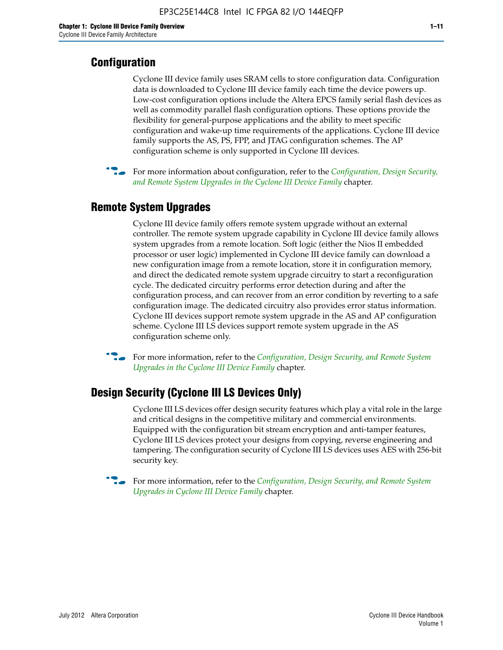## **Configuration**

Cyclone III device family uses SRAM cells to store configuration data. Configuration data is downloaded to Cyclone III device family each time the device powers up. Low-cost configuration options include the Altera EPCS family serial flash devices as well as commodity parallel flash configuration options. These options provide the flexibility for general-purpose applications and the ability to meet specific configuration and wake-up time requirements of the applications. Cyclone III device family supports the AS, PS, FPP, and JTAG configuration schemes. The AP configuration scheme is only supported in Cyclone III devices.



f For more information about configuration, refer to the *[Configuration, Design Security,](http://www.altera.com/literature/hb/cyc3/cyc3_ciii51016.pdf)  [and Remote System Upgrades in the Cyclone III Device Family](http://www.altera.com/literature/hb/cyc3/cyc3_ciii51016.pdf)* chapter.

#### **Remote System Upgrades**

Cyclone III device family offers remote system upgrade without an external controller. The remote system upgrade capability in Cyclone III device family allows system upgrades from a remote location. Soft logic (either the Nios II embedded processor or user logic) implemented in Cyclone III device family can download a new configuration image from a remote location, store it in configuration memory, and direct the dedicated remote system upgrade circuitry to start a reconfiguration cycle. The dedicated circuitry performs error detection during and after the configuration process, and can recover from an error condition by reverting to a safe configuration image. The dedicated circuitry also provides error status information. Cyclone III devices support remote system upgrade in the AS and AP configuration scheme. Cyclone III LS devices support remote system upgrade in the AS configuration scheme only.

**For more information, refer to the** *Configuration, Design Security, and Remote System [Upgrades in the Cyclone III Device Family](http://www.altera.com/literature/hb/cyc3/cyc3_ciii51016.pdf)* chapter.

#### **Design Security (Cyclone III LS Devices Only)**

Cyclone III LS devices offer design security features which play a vital role in the large and critical designs in the competitive military and commercial environments. Equipped with the configuration bit stream encryption and anti-tamper features, Cyclone III LS devices protect your designs from copying, reverse engineering and tampering. The configuration security of Cyclone III LS devices uses AES with 256-bit security key.

f For more information, refer to the *[Configuration, Design Security, and Remote System](http://www.altera.com/literature/hb/cyc3/cyc3_ciii51016.pdf)  [Upgrades in Cyclone III Device Family](http://www.altera.com/literature/hb/cyc3/cyc3_ciii51016.pdf)* chapter.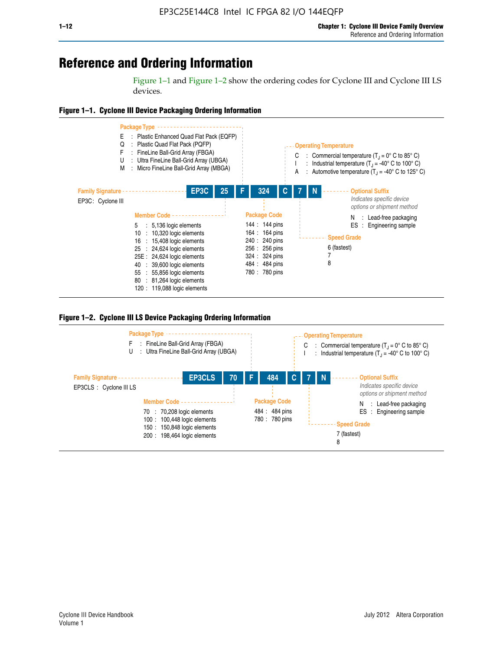## **Reference and Ordering Information**

Figure 1–1 and Figure 1–2 show the ordering codes for Cyclone III and Cyclone III LS devices.







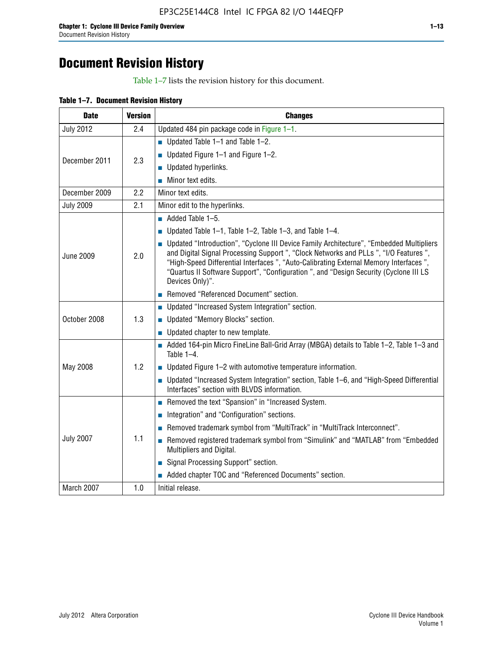# **Document Revision History**

Table 1–7 lists the revision history for this document.

| Table 1-7. Document Revision History |
|--------------------------------------|
|--------------------------------------|

| <b>Date</b>      | <b>Version</b> | <b>Changes</b>                                                                                                                                                                                                                                                                                                                                                                          |
|------------------|----------------|-----------------------------------------------------------------------------------------------------------------------------------------------------------------------------------------------------------------------------------------------------------------------------------------------------------------------------------------------------------------------------------------|
| <b>July 2012</b> | 2.4            | Updated 484 pin package code in Figure 1-1.                                                                                                                                                                                                                                                                                                                                             |
|                  |                | ■ Updated Table $1-1$ and Table $1-2$ .                                                                                                                                                                                                                                                                                                                                                 |
|                  | 2.3            | ■ Updated Figure $1-1$ and Figure $1-2$ .                                                                                                                                                                                                                                                                                                                                               |
| December 2011    |                | Updated hyperlinks.                                                                                                                                                                                                                                                                                                                                                                     |
|                  |                | Minor text edits.                                                                                                                                                                                                                                                                                                                                                                       |
| December 2009    | 2.2            | Minor text edits.                                                                                                                                                                                                                                                                                                                                                                       |
| <b>July 2009</b> | 2.1            | Minor edit to the hyperlinks.                                                                                                                                                                                                                                                                                                                                                           |
|                  |                | $\blacksquare$ Added Table 1-5.                                                                                                                                                                                                                                                                                                                                                         |
|                  |                | ■ Updated Table 1–1, Table 1–2, Table 1–3, and Table 1–4.                                                                                                                                                                                                                                                                                                                               |
| <b>June 2009</b> | 2.0            | • Updated "Introduction", "Cyclone III Device Family Architecture", "Embedded Multipliers<br>and Digital Signal Processing Support ", "Clock Networks and PLLs ", "I/O Features ",<br>"High-Speed Differential Interfaces ", "Auto-Calibrating External Memory Interfaces",<br>"Quartus II Software Support", "Configuration ", and "Design Security (Cyclone III LS<br>Devices Only)". |
|                  |                | Removed "Referenced Document" section.                                                                                                                                                                                                                                                                                                                                                  |
|                  |                | • Updated "Increased System Integration" section.                                                                                                                                                                                                                                                                                                                                       |
| October 2008     | 1.3            | Updated "Memory Blocks" section.                                                                                                                                                                                                                                                                                                                                                        |
|                  |                | • Updated chapter to new template.                                                                                                                                                                                                                                                                                                                                                      |
|                  |                | Added 164-pin Micro FineLine Ball-Grid Array (MBGA) details to Table 1-2, Table 1-3 and<br>Table $1-4$ .                                                                                                                                                                                                                                                                                |
| May 2008         | 1.2            | $\blacksquare$ Updated Figure 1-2 with automotive temperature information.                                                                                                                                                                                                                                                                                                              |
|                  |                | • Updated "Increased System Integration" section, Table 1-6, and "High-Speed Differential<br>Interfaces" section with BLVDS information.                                                                                                                                                                                                                                                |
|                  |                | Removed the text "Spansion" in "Increased System.                                                                                                                                                                                                                                                                                                                                       |
|                  |                | Integration" and "Configuration" sections.                                                                                                                                                                                                                                                                                                                                              |
|                  |                | Removed trademark symbol from "MultiTrack" in "MultiTrack Interconnect".                                                                                                                                                                                                                                                                                                                |
| <b>July 2007</b> | 1.1            | Removed registered trademark symbol from "Simulink" and "MATLAB" from "Embedded<br>Multipliers and Digital.                                                                                                                                                                                                                                                                             |
|                  |                | Signal Processing Support" section.                                                                                                                                                                                                                                                                                                                                                     |
|                  |                | Added chapter TOC and "Referenced Documents" section.                                                                                                                                                                                                                                                                                                                                   |
| March 2007       | 1.0            | Initial release.                                                                                                                                                                                                                                                                                                                                                                        |